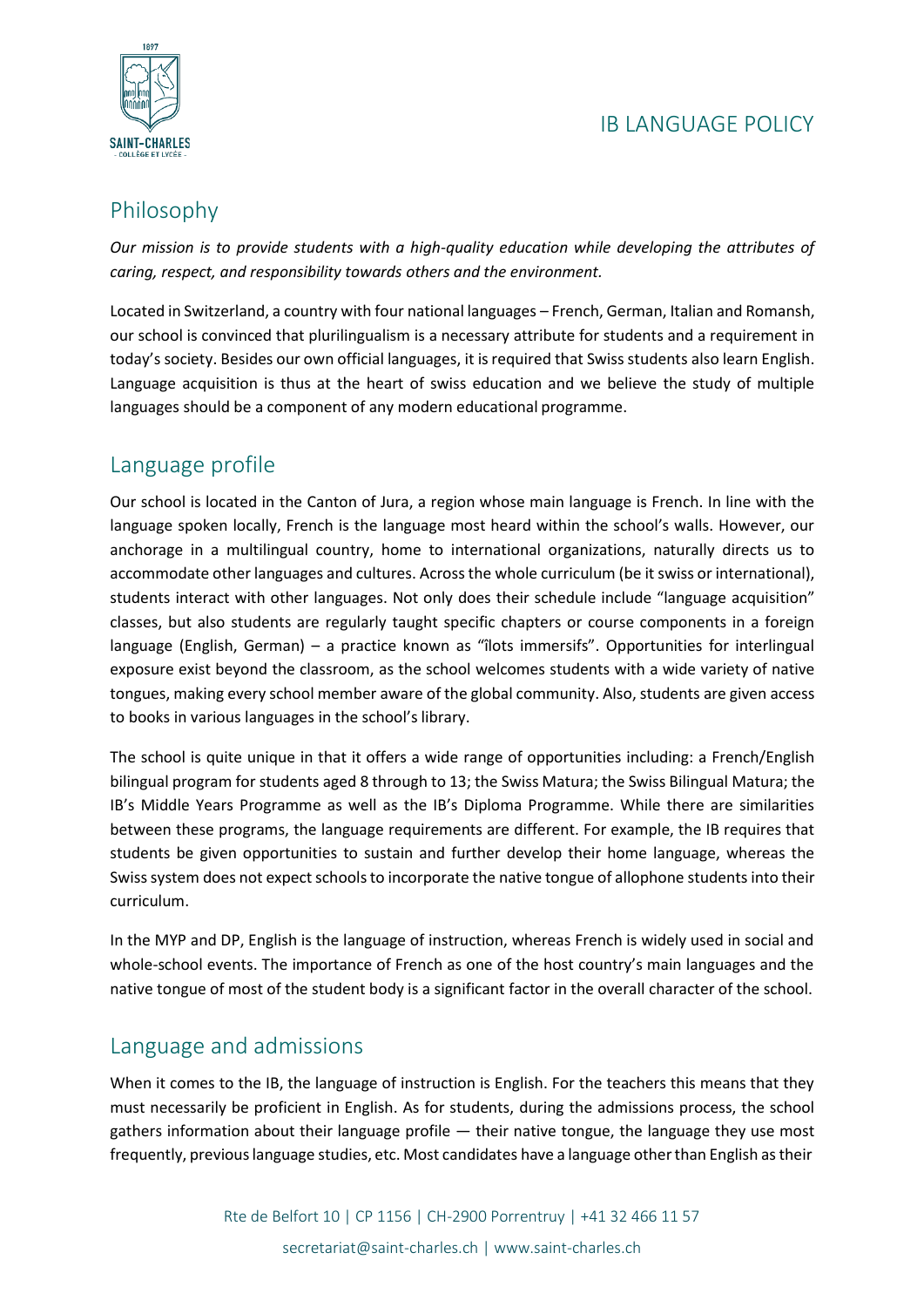

# Philosophy

*Our mission is to provide students with a high-quality education while developing the attributes of caring, respect, and responsibility towards others and the environment.*

Located in Switzerland, a country with four national languages – French, German, Italian and Romansh, our school is convinced that plurilingualism is a necessary attribute for students and a requirement in today's society. Besides our own official languages, it isrequired that Swiss students also learn English. Language acquisition is thus at the heart of swiss education and we believe the study of multiple languages should be a component of any modern educational programme.

## Language profile

Our school is located in the Canton of Jura, a region whose main language is French. In line with the language spoken locally, French is the language most heard within the school's walls. However, our anchorage in a multilingual country, home to international organizations, naturally directs us to accommodate other languages and cultures. Across the whole curriculum (be it swiss or international), students interact with other languages. Not only does their schedule include "language acquisition" classes, but also students are regularly taught specific chapters or course components in a foreign language (English, German) – a practice known as "îlots immersifs". Opportunities for interlingual exposure exist beyond the classroom, as the school welcomes students with a wide variety of native tongues, making every school member aware of the global community. Also, students are given access to books in various languages in the school's library.

The school is quite unique in that it offers a wide range of opportunities including: a French/English bilingual program for students aged 8 through to 13; the Swiss Matura; the Swiss Bilingual Matura; the IB's Middle Years Programme as well as the IB's Diploma Programme. While there are similarities between these programs, the language requirements are different. For example, the IB requires that students be given opportunities to sustain and further develop their home language, whereas the Swiss system does not expect schools to incorporate the native tongue of allophone students into their curriculum.

In the MYP and DP, English is the language of instruction, whereas French is widely used in social and whole-school events. The importance of French as one of the host country's main languages and the native tongue of most of the student body is a significant factor in the overall character of the school.

### Language and admissions

When it comes to the IB, the language of instruction is English. For the teachers this means that they must necessarily be proficient in English. As for students, during the admissions process, the school gathers information about their language profile — their native tongue, the language they use most frequently, previouslanguage studies, etc. Most candidates have a language otherthan English astheir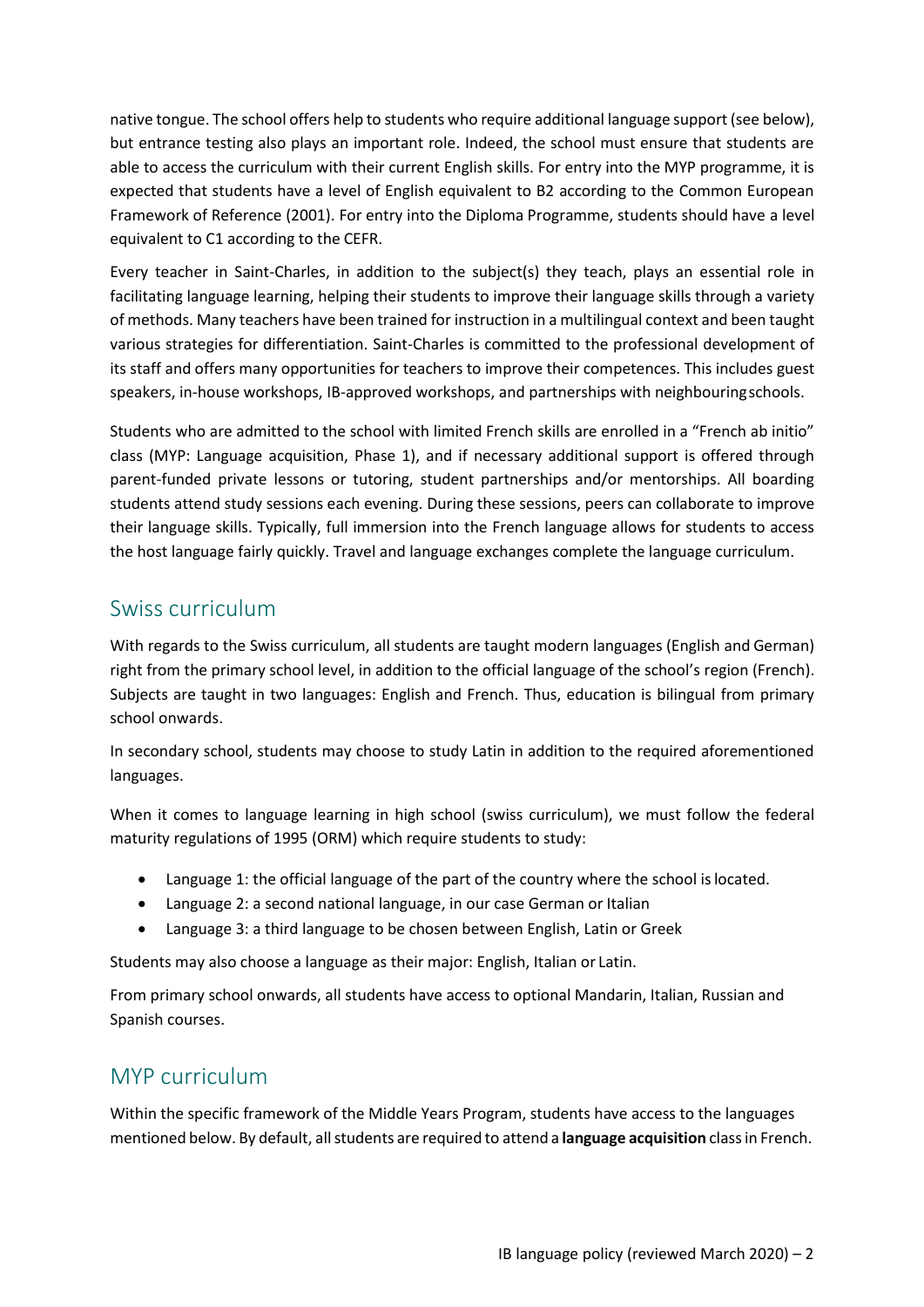native tongue. The school offers help to students who require additional language support (see below), but entrance testing also plays an important role. Indeed, the school must ensure that students are able to access the curriculum with their current English skills. For entry into the MYP programme, it is expected that students have a level of English equivalent to B2 according to the Common European Framework of Reference (2001). For entry into the Diploma Programme, students should have a level equivalent to C1 according to the CEFR.

Every teacher in Saint-Charles, in addition to the subject(s) they teach, plays an essential role in facilitating language learning, helping their students to improve their language skills through a variety of methods. Many teachers have been trained for instruction in a multilingual context and been taught various strategies for differentiation. Saint-Charles is committed to the professional development of its staff and offers many opportunities for teachers to improve their competences. This includes guest speakers, in-house workshops, IB-approved workshops, and partnerships with neighbouringschools.

Students who are admitted to the school with limited French skills are enrolled in a "French ab initio" class (MYP: Language acquisition, Phase 1), and if necessary additional support is offered through parent-funded private lessons or tutoring, student partnerships and/or mentorships. All boarding students attend study sessions each evening. During these sessions, peers can collaborate to improve their language skills. Typically, full immersion into the French language allows for students to access the host language fairly quickly. Travel and language exchanges complete the language curriculum.

#### Swiss curriculum

With regards to the Swiss curriculum, all students are taught modern languages (English and German) right from the primary school level, in addition to the official language of the school's region (French). Subjects are taught in two languages: English and French. Thus, education is bilingual from primary school onwards.

In secondary school, students may choose to study Latin in addition to the required aforementioned languages.

When it comes to language learning in high school (swiss curriculum), we must follow the federal maturity regulations of 1995 (ORM) which require students to study:

- Language 1: the official language of the part of the country where the school is located.
- Language 2: a second national language, in our case German or Italian
- Language 3: a third language to be chosen between English, Latin or Greek

Students may also choose a language as their major: English, Italian or Latin.

From primary school onwards, all students have access to optional Mandarin, Italian, Russian and Spanish courses.

#### MYP curriculum

Within the specific framework of the Middle Years Program, students have access to the languages mentioned below. By default, allstudents are required to attend a **language acquisition** classin French.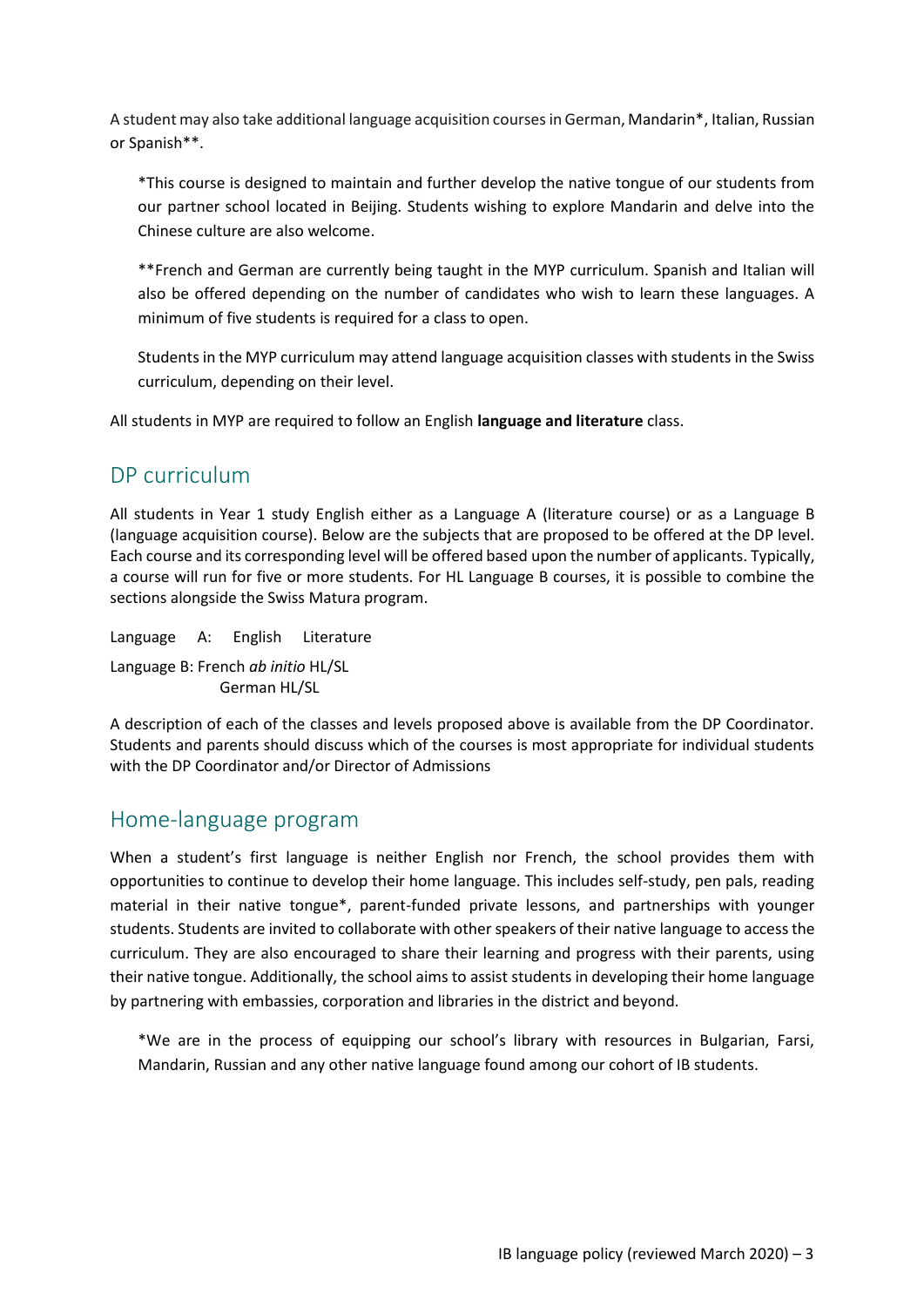A student may also take additional language acquisition coursesin German, Mandarin\*, Italian, Russian or Spanish\*\*.

\*This course is designed to maintain and further develop the native tongue of our students from our partner school located in Beijing. Students wishing to explore Mandarin and delve into the Chinese culture are also welcome.

\*\*French and German are currently being taught in the MYP curriculum. Spanish and Italian will also be offered depending on the number of candidates who wish to learn these languages. A minimum of five students is required for a class to open.

Students in the MYP curriculum may attend language acquisition classes with students in the Swiss curriculum, depending on their level.

All students in MYP are required to follow an English **language and literature** class.

### DP curriculum

All students in Year 1 study English either as a Language A (literature course) or as a Language B (language acquisition course). Below are the subjects that are proposed to be offered at the DP level. Each course and its corresponding level will be offered based upon the number of applicants. Typically, a course will run for five or more students. For HL Language B courses, it is possible to combine the sections alongside the Swiss Matura program.

Language A: English Literature Language B: French *ab initio* HL/SL German HL/SL

A description of each of the classes and levels proposed above is available from the DP Coordinator. Students and parents should discuss which of the courses is most appropriate for individual students with the DP Coordinator and/or Director of Admissions

#### Home-language program

When a student's first language is neither English nor French, the school provides them with opportunities to continue to develop their home language. This includes self-study, pen pals, reading material in their native tongue\*, parent-funded private lessons, and partnerships with younger students. Students are invited to collaborate with other speakers of their native language to access the curriculum. They are also encouraged to share their learning and progress with their parents, using their native tongue. Additionally, the school aims to assist students in developing their home language by partnering with embassies, corporation and libraries in the district and beyond.

\*We are in the process of equipping our school's library with resources in Bulgarian, Farsi, Mandarin, Russian and any other native language found among our cohort of IB students.